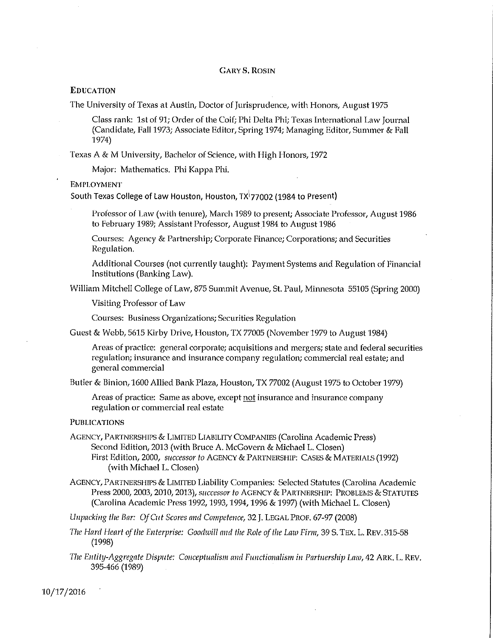#### **GARY S. ROSIN**

#### **EDUCATION**

The University of Texas at Austin, Doctor of Jurisprudence, with Honors, August 1975

Class rank: 1st of 91; Order of the Coif; Phi Delta Phi; Texas International Law Journal (Candidate, Fall 1973; Associate Editor, Spring 1974; Managing Editor, Summer & Fall 1974)

Texas A & M University, Bachelor of Science, with High Honors, 1972

Major: Mathematics. Phi Kappa Phi.

**EMPLOYMENT** 

South Texas College of Law Houston, Houston, TX 77002 (1984 to Present)

Professor of Law (with tenure), March 1989 to present; Associate Professor, August 1986 to February 1989; Assistant Professor, August 1984 to August 1986

Courses: Agency & Partnership; Corporate Finance; Corporations; and Securities Regulation.

Additional Courses (not currently taught): Payment Systems and Regulation of Financial Institutions (Banking Law).

William Mitchell College of Law, 875 Summit Avenue, St. Paul, Minnesota 55105 (Spring 2000)

Visiting Professor of Law

Courses: Business Organizations; Securities Regulation

Guest & Webb, 5615 Kirby Drive, Houston, TX 77005 (November 1979 to August 1984)

Areas of practice: general corporate; acquisitions and mergers; state and federal securities regulation; insurance and insurance company regulation; commercial real estate; and general commercial

Butler & Binion, 1600 Allied Bank Plaza, Houston, TX 77002 (August 1975 to October 1979)

Areas of practice: Same as above, except not insurance and insurance company regulation or commercial real estate

**PUBLICATIONS** 

AGENCY, PARTNERSHIPS & LIMITED LIABILITY COMPANIES (Carolina Academic Press) Second Edition, 2013 (with Bruce A. McGovern & Michael L. Closen) First Edition, 2000, successor to AGENCY & PARTNERSHIP: CASES & MATERIALS (1992) (with Michael L. Closen)

AGENCY, PARTNERSHIPS & LIMITED Liability Companies: Selected Statutes (Carolina Academic Press 2000, 2003, 2010, 2013), successor to AGENCY & PARTNERSHIP: PROBLEMS & STATUTES (Carolina Academic Press 1992, 1993, 1994, 1996 & 1997) (with Michael L. Closen)

Unpacking the Bar: Of Cut Scores and Competence, 32 J. LEGAL PROF. 67-97 (2008)

- The Hard Heart of the Enterprise: Goodwill and the Role of the Law Firm, 39 S. TEX. L. REV. 315-58  $(1998)$
- The Entity-Aggregate Dispute: Conceptualism and Functionalism in Partnership Law, 42 ARK, L. REV. 395-466 (1989)

10/17/2016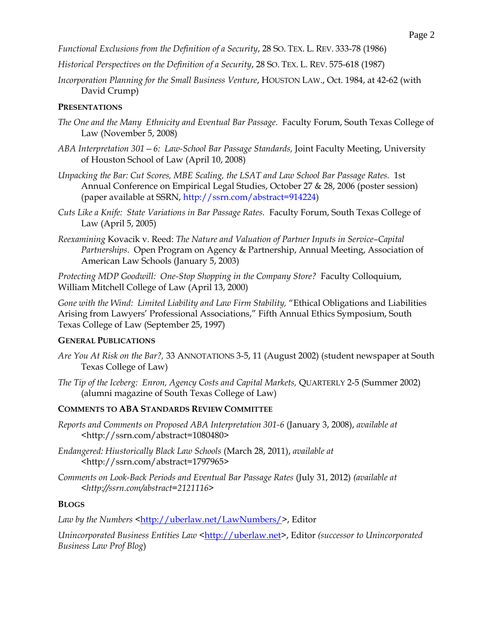*Functional Exclusions from the Definition of a Security*, 28 SO. TEX. L. REV. 333-78 (1986)

- *Historical Perspectives on the Definition of a Security*, 28 SO. TEX. L. REV. 575-618 (1987)
- *Incorporation Planning for the Small Business Venture*, HOUSTON LAW., Oct. 1984, at 42-62 (with David Crump)

## **PRESENTATIONS**

- *The One and the Many Ethnicity and Eventual Bar Passage.* Faculty Forum, South Texas College of Law (November 5, 2008)
- *ABA Interpretation 301—6: Law-School Bar Passage Standards,* Joint Faculty Meeting, University of Houston School of Law (April 10, 2008)
- *Unpacking the Bar: Cut Scores, MBE Scaling, the LSAT and Law School Bar Passage Rates.* 1st Annual Conference on Empirical Legal Studies, October 27 & 28, 2006 (poster session) (paper available at SSRN, [http://ssrn.com/abstract=914224\)](http://ssrn.com/abstract=914224)
- *Cuts Like a Knife: State Variations in Bar Passage Rates.* Faculty Forum, South Texas College of Law (April 5, 2005)
- *Reexamining* Kovacik v. Reed: *The Nature and Valuation of Partner Inputs in Service–Capital Partnerships*. Open Program on Agency & Partnership, Annual Meeting, Association of American Law Schools (January 5, 2003)

*Protecting MDP Goodwill: One-Stop Shopping in the Company Store?* Faculty Colloquium, William Mitchell College of Law (April 13, 2000)

*Gone with the Wind: Limited Liability and Law Firm Stability,* "Ethical Obligations and Liabilities Arising from Lawyers' Professional Associations," Fifth Annual Ethics Symposium, South Texas College of Law (September 25, 1997)

#### **GENERAL PUBLICATIONS**

- *Are You At Risk on the Bar?,* 33 ANNOTATIONS 3-5, 11 (August 2002) (student newspaper at South Texas College of Law)
- *The Tip of the Iceberg: Enron, Agency Costs and Capital Markets,* QUARTERLY 2-5 (Summer 2002) (alumni magazine of South Texas College of Law)

#### **COMMENTS TO ABA STANDARDS REVIEW COMMITTEE**

- *Reports and Comments on Proposed ABA Interpretation 301-6* (January 3, 2008), *available at* <http://ssrn.com/abstract=1080480>
- *Endangered: Hiustorically Black Law Schools* (March 28, 2011), *available at*  <http://ssrn.com/abstract=1797965>
- *Comments on Look-Back Periods and Eventual Bar Passage Rates* (July 31, 2012) *(available at <http://ssrn.com/abstract=2121116>*

#### **BLOGS**

Law by the Numbers [<http://uberlaw.net/LawNumbers/>](http://uberlaw.net/LawNumbers/), Editor

*Unincorporated Business Entities Law* [<http://uberlaw.net>](http://uberlaw.net/), Editor *(successor to Unincorporated Business Law Prof Blog*)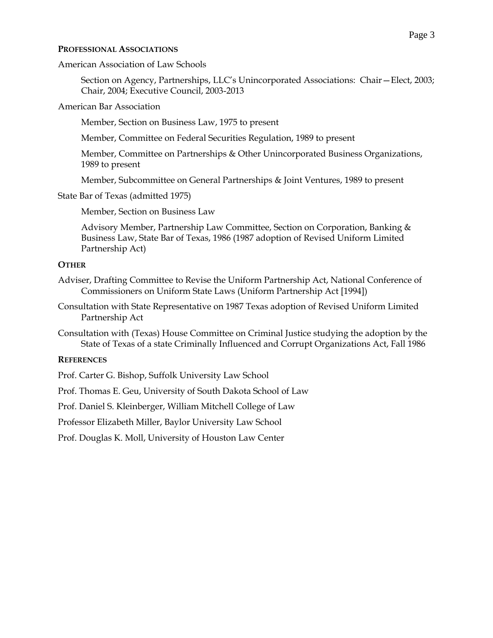### **PROFESSIONAL ASSOCIATIONS**

American Association of Law Schools

Section on Agency, Partnerships, LLC's Unincorporated Associations: Chair—Elect, 2003; Chair, 2004; Executive Council, 2003-2013

American Bar Association

Member, Section on Business Law, 1975 to present

Member, Committee on Federal Securities Regulation, 1989 to present

Member, Committee on Partnerships & Other Unincorporated Business Organizations, 1989 to present

Member, Subcommittee on General Partnerships & Joint Ventures, 1989 to present

State Bar of Texas (admitted 1975)

Member, Section on Business Law

Advisory Member, Partnership Law Committee, Section on Corporation, Banking & Business Law, State Bar of Texas, 1986 (1987 adoption of Revised Uniform Limited Partnership Act)

# **OTHER**

- Adviser, Drafting Committee to Revise the Uniform Partnership Act, National Conference of Commissioners on Uniform State Laws (Uniform Partnership Act [1994])
- Consultation with State Representative on 1987 Texas adoption of Revised Uniform Limited Partnership Act
- Consultation with (Texas) House Committee on Criminal Justice studying the adoption by the State of Texas of a state Criminally Influenced and Corrupt Organizations Act, Fall 1986

# **REFERENCES**

Prof. Carter G. Bishop, Suffolk University Law School

Prof. Thomas E. Geu, University of South Dakota School of Law

Prof. Daniel S. Kleinberger, William Mitchell College of Law

Professor Elizabeth Miller, Baylor University Law School

Prof. Douglas K. Moll, University of Houston Law Center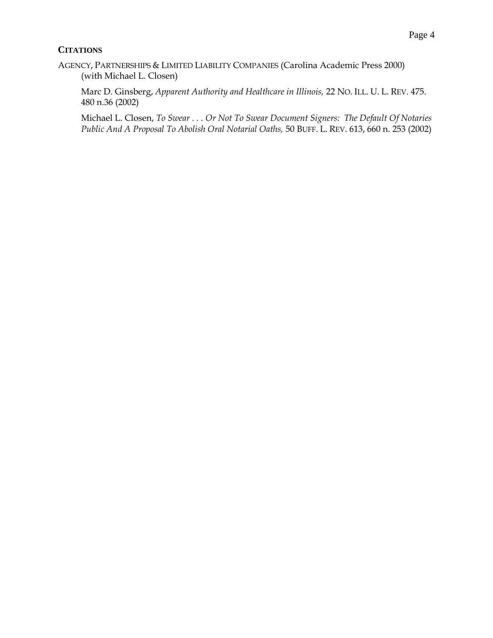# **CITATIONS**

AGENCY, PARTNERSHIPS & LIMITED LIABILITY COMPANIES (Carolina Academic Press 2000) (with Michael L. Closen)

Marc D. Ginsberg, *Apparent Authority and Healthcare in Illinois,* 22 NO. ILL. U. L. REV. 475. 480 n.36 (2002)

Michael L. Closen, *To Swear . . . Or Not To Swear Document Signers: The Default Of Notaries Public And A Proposal To Abolish Oral Notarial Oaths,* 50 BUFF. L. REV. 613, 660 n. 253 (2002)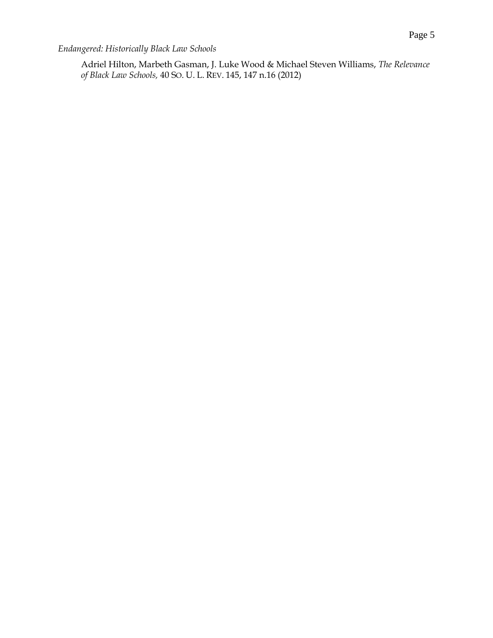*Endangered: Historically Black Law Schools*

Adriel Hilton, Marbeth Gasman, J. Luke Wood & Michael Steven Williams, *The Relevance of Black Law Schools,* 40 SO. U. L. REV. 145, 147 n.16 (2012)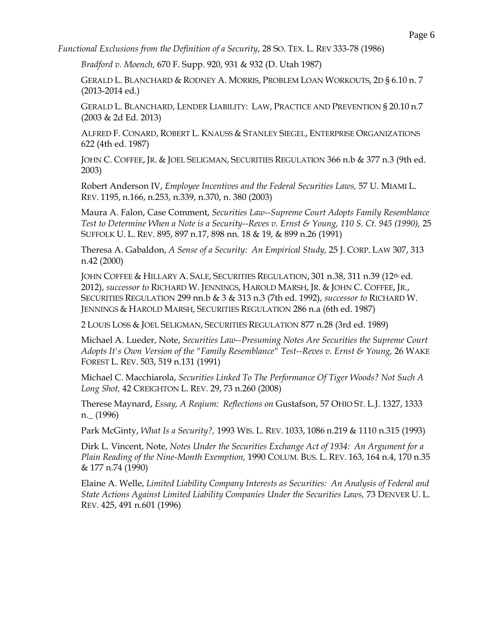*Functional Exclusions from the Definition of a Security*, 28 SO. TEX. L. REV 333-78 (1986)

*Bradford v. Moench,* 670 F. Supp. 920, 931 & 932 (D. Utah 1987)

GERALD L. BLANCHARD & RODNEY A. MORRIS, PROBLEM LOAN WORKOUTS, 2D § 6.10 n. 7 (2013-2014 ed.)

GERALD L. BLANCHARD, LENDER LIABILITY: LAW, PRACTICE AND PREVENTION § 20.10 n.7 (2003 & 2d Ed. 2013)

ALFRED F. CONARD, ROBERT L. KNAUSS & STANLEY SIEGEL, ENTERPRISE ORGANIZATIONS 622 (4th ed. 1987)

JOHN C. COFFEE, JR. & JOEL SELIGMAN, SECURITIES REGULATION 366 n.b & 377 n.3 (9th ed. 2003)

Robert Anderson IV, *Employee Incentives and the Federal Securities Laws,* 57 U. MIAMI L. REV. 1195, n.166, n.253, n.339, n.370, n. 380 (2003)

Maura A. Falon, Case Comment, *Securities Law--Supreme Court Adopts Family Resemblance Test to Determine When a Note is a Security--Reves v. Ernst & Young, 110 S. Ct. 945 (1990),* 25 SUFFOLK U. L. REV. 895, 897 n.17, 898 nn. 18 & 19, & 899 n.26 (1991)

Theresa A. Gabaldon, *A Sense of a Security: An Empirical Study,* 25 J. CORP. LAW 307, 313 n.42 (2000)

JOHN COFFEE & HILLARY A. SALE, SECURITIES REGULATION, 301 n.38, 311 n.39 (12th ed. 2012), *successor to* RICHARD W. JENNINGS, HAROLD MARSH, JR. & JOHN C. COFFEE, JR., SECURITIES REGULATION 299 nn.b & 3 & 313 n.3 (7th ed. 1992), *successor to* RICHARD W. JENNINGS & HAROLD MARSH, SECURITIES REGULATION 286 n.a (6th ed. 1987)

2 LOUIS LOSS & JOEL SELIGMAN, SECURITIES REGULATION 877 n.28 (3rd ed. 1989)

Michael A. Lueder, Note, *Securities Law--Presuming Notes Are Securities the Supreme Court Adopts It's Own Version of the "Family Resemblance" Test--Reves v. Ernst & Young,* 26 WAKE FOREST L. REV. 503, 519 n.131 (1991)

Michael C. Macchiarola, *Securities Linked To The Performance Of Tiger Woods? Not Such A Long Shot,* 42 CREIGHTON L. REV. 29, 73 n.260 (2008)

Therese Maynard, *Essay, A Reqium: Reflections on* Gustafson, 57 OHIO ST. L.J. 1327, 1333 n.\_ (1996)

Park McGinty, *What Is a Security?,* 1993 WIS. L. REV. 1033, 1086 n.219 & 1110 n.315 (1993)

Dirk L. Vincent, Note, *Notes Under the Securities Exchange Act of 1934: An Argument for a Plain Reading of the Nine-Month Exemption,* 1990 COLUM. BUS. L. REV. 163, 164 n.4, 170 n.35 & 177 n.74 (1990)

Elaine A. Welle, *Limited Liability Company Interests as Securities: An Analysis of Federal and State Actions Against Limited Liability Companies Under the Securities Laws, 73 DENVER U.L.* REV. 425, 491 n.601 (1996)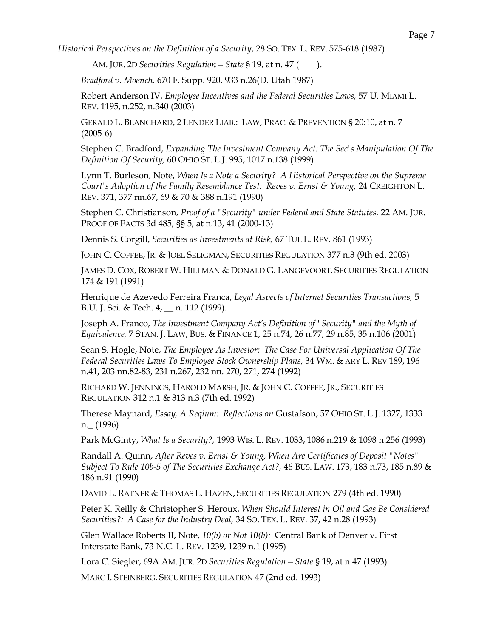*Historical Perspectives on the Definition of a Security*, 28 SO. TEX. L. REV. 575-618 (1987)

\_\_ AM. JUR. 2D *Securities Regulation—State* § 19, at n. 47 (\_\_\_\_).

*Bradford v. Moench,* 670 F. Supp. 920, 933 n.26(D. Utah 1987)

Robert Anderson IV, *Employee Incentives and the Federal Securities Laws,* 57 U. MIAMI L. REV. 1195, n.252, n.340 (2003)

GERALD L. BLANCHARD, 2 LENDER LIAB.: LAW, PRAC. & PREVENTION § 20:10, at n. 7 (2005-6)

Stephen C. Bradford, *Expanding The Investment Company Act: The Sec's Manipulation Of The Definition Of Security,* 60 OHIO ST. L.J. 995, 1017 n.138 (1999)

Lynn T. Burleson, Note, *When Is a Note a Security? A Historical Perspective on the Supreme Court's Adoption of the Family Resemblance Test: Reves v. Ernst & Young, 24 CREIGHTON L.* REV. 371, 377 nn.67, 69 & 70 & 388 n.191 (1990)

Stephen C. Christianson, *Proof of a "Security" under Federal and State Statutes,* 22 AM. JUR. PROOF OF FACTS 3d 485, §§ 5, at n.13, 41 (2000-13)

Dennis S. Corgill, *Securities as Investments at Risk,* 67 TUL L. REV. 861 (1993)

JOHN C. COFFEE, JR. & JOEL SELIGMAN, SECURITIES REGULATION 377 n.3 (9th ed. 2003)

JAMES D. COX, ROBERT W. HILLMAN & DONALD G. LANGEVOORT, SECURITIES REGULATION 174 & 191 (1991)

Henrique de Azevedo Ferreira Franca, *Legal Aspects of Internet Securities Transactions,* 5 B.U. J. Sci. & Tech. 4, \_\_ n. 112 (1999).

Joseph A. Franco, *The Investment Company Act's Definition of "Security" and the Myth of Equivalence,* 7 STAN. J. LAW, BUS. & FINANCE 1, 25 n.74, 26 n.77, 29 n.85, 35 n.106 (2001)

Sean S. Hogle, Note, *The Employee As Investor: The Case For Universal Application Of The Federal Securities Laws To Employee Stock Ownership Plans,* 34 WM. & ARY L. REV 189, 196 n.41, 203 nn.82-83, 231 n.267, 232 nn. 270, 271, 274 (1992)

RICHARD W. JENNINGS, HAROLD MARSH, JR. & JOHN C. COFFEE, JR., SECURITIES REGULATION 312 n.1 & 313 n.3 (7th ed. 1992)

Therese Maynard, *Essay, A Reqium: Reflections on* Gustafson, 57 OHIO ST. L.J. 1327, 1333 n.\_ (1996)

Park McGinty, *What Is a Security?,* 1993 WIS. L. REV. 1033, 1086 n.219 & 1098 n.256 (1993)

Randall A. Quinn, *After Reves v. Ernst & Young, When Are Certificates of Deposit "Notes" Subject To Rule 10b-5 of The Securities Exchange Act?,* 46 BUS. LAW. 173, 183 n.73, 185 n.89 & 186 n.91 (1990)

DAVID L. RATNER & THOMAS L. HAZEN, SECURITIES REGULATION 279 (4th ed. 1990)

Peter K. Reilly & Christopher S. Heroux, *When Should Interest in Oil and Gas Be Considered Securities?: A Case for the Industry Deal,* 34 SO. TEX. L. REV. 37, 42 n.28 (1993)

Glen Wallace Roberts II, Note, *10(b) or Not 10(b):* Central Bank of Denver v. First Interstate Bank, 73 N.C. L. REV. 1239, 1239 n.1 (1995)

Lora C. Siegler, 69A AM. JUR. 2D *Securities Regulation—State* § 19, at n.47 (1993)

MARC I. STEINBERG, SECURITIES REGULATION 47 (2nd ed. 1993)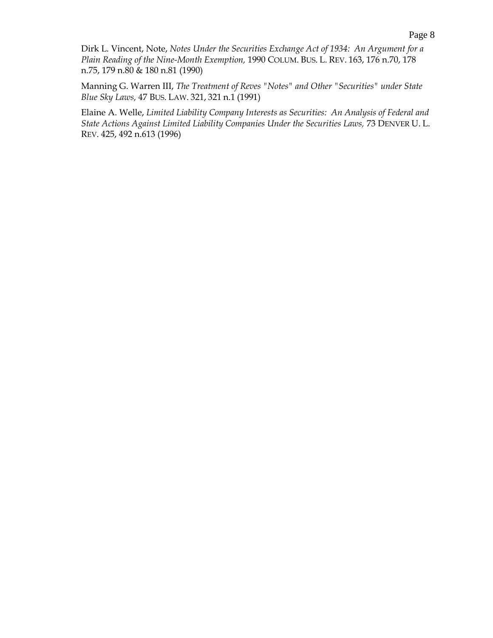Dirk L. Vincent, Note, *Notes Under the Securities Exchange Act of 1934: An Argument for a Plain Reading of the Nine-Month Exemption,* 1990 COLUM. BUS. L. REV. 163, 176 n.70, 178 n.75, 179 n.80 & 180 n.81 (1990)

Manning G. Warren III, *The Treatment of Reves "Notes" and Other "Securities" under State Blue Sky Laws,* 47 BUS. LAW. 321, 321 n.1 (1991)

Elaine A. Welle, *Limited Liability Company Interests as Securities: An Analysis of Federal and*  State Actions Against Limited Liability Companies Under the Securities Laws, 73 DENVER U.L. REV. 425, 492 n.613 (1996)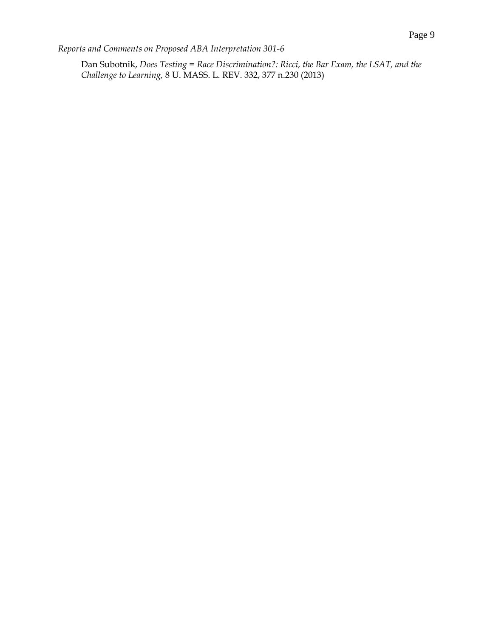*Reports and Comments on Proposed ABA Interpretation 301-6*

Dan Subotnik, *Does Testing = Race Discrimination?: Ricci, the Bar Exam, the LSAT, and the Challenge to Learning,* 8 U. MASS. L. REV. 332, 377 n.230 (2013)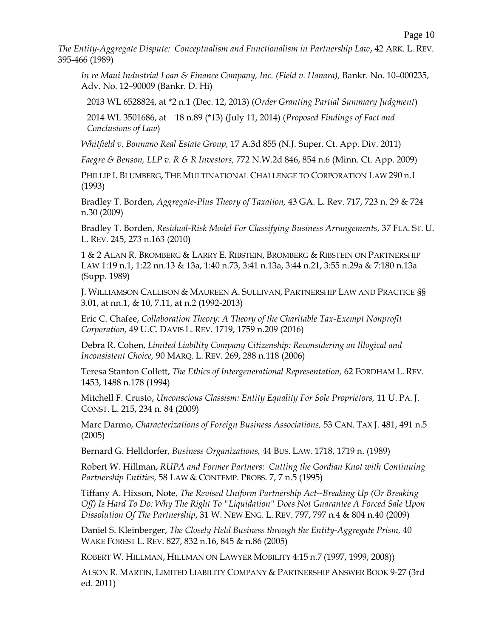*The Entity-Aggregate Dispute: Conceptualism and Functionalism in Partnership Law*, 42 ARK. L. REV. 395-466 (1989)

*In re Maui Industrial Loan & Finance Company, Inc. (Field v. Hanara),* Bankr. No. 10–000235, Adv. No. 12–90009 (Bankr. D. Hi)

2013 WL 6528824, at \*2 n.1 (Dec. 12, 2013) (*Order Granting Partial Summary Judgment*)

2014 WL 3501686, at 18 n.89 (\*13) (July 11, 2014) (*Proposed Findings of Fact and Conclusions of Law*)

*Whitfield v. Bonnano Real Estate Group,* 17 A.3d 855 (N.J. Super. Ct. App. Div. 2011)

*Faegre & Benson, LLP v. R & R Investors,* 772 N.W.2d 846, 854 n.6 (Minn. Ct. App. 2009)

PHILLIP I. BLUMBERG, THE MULTINATIONAL CHALLENGE TO CORPORATION LAW 290 n.1 (1993)

Bradley T. Borden, *Aggregate-Plus Theory of Taxation,* 43 GA. L. Rev. 717, 723 n. 29 & 724 n.30 (2009)

Bradley T. Borden, *Residual-Risk Model For Classifying Business Arrangements,* 37 FLA. ST. U. L. REV. 245, 273 n.163 (2010)

1 & 2 ALAN R. BROMBERG & LARRY E. RIBSTEIN, BROMBERG & RIBSTEIN ON PARTNERSHIP LAW 1:19 n.1, 1:22 nn.13 & 13a, 1:40 n.73, 3:41 n.13a, 3:44 n.21, 3:55 n.29a & 7:180 n.13a (Supp. 1989)

J. WILLIAMSON CALLISON & MAUREEN A. SULLIVAN, PARTNERSHIP LAW AND PRACTICE §§ 3.01, at nn.1, & 10, 7.11, at n.2 (1992-2013)

Eric C. Chafee, *Collaboration Theory: A Theory of the Charitable Tax-Exempt Nonprofit Corporation,* 49 U.C. DAVIS L. REV. 1719, 1759 n.209 (2016)

Debra R. Cohen, *Limited Liability Company Citizenship: Reconsidering an Illogical and Inconsistent Choice,* 90 MARQ. L. REV. 269, 288 n.118 (2006)

Teresa Stanton Collett, *The Ethics of Intergenerational Representation,* 62 FORDHAM L. REV. 1453, 1488 n.178 (1994)

Mitchell F. Crusto, *Unconscious Classism: Entity Equality For Sole Proprietors,* 11 U. PA. J. CONST. L. 215, 234 n. 84 (2009)

Marc Darmo, *Characterizations of Foreign Business Associations,* 53 CAN. TAX J. 481, 491 n.5 (2005)

Bernard G. Helldorfer, *Business Organizations,* 44 BUS. LAW. 1718, 1719 n. (1989)

Robert W. Hillman, *RUPA and Former Partners: Cutting the Gordian Knot with Continuing Partnership Entities,* 58 LAW & CONTEMP. PROBS. 7, 7 n.5 (1995)

Tiffany A. Hixson, Note, *The Revised Uniform Partnership Act--Breaking Up (Or Breaking Off) Is Hard To Do: Why The Right To "Liquidation" Does Not Guarantee A Forced Sale Upon Dissolution Of The Partnership*, 31 W. NEW ENG. L. REV. 797, 797 n.4 & 804 n.40 (2009)

Daniel S. Kleinberger, *The Closely Held Business through the Entity-Aggregate Prism,* 40 WAKE FOREST L. REV. 827, 832 n.16, 845 & n.86 (2005)

ROBERT W. HILLMAN, HILLMAN ON LAWYER MOBILITY 4:15 n.7 (1997, 1999, 2008))

ALSON R. MARTIN, LIMITED LIABILITY COMPANY & PARTNERSHIP ANSWER BOOK 9-27 (3rd ed. 2011)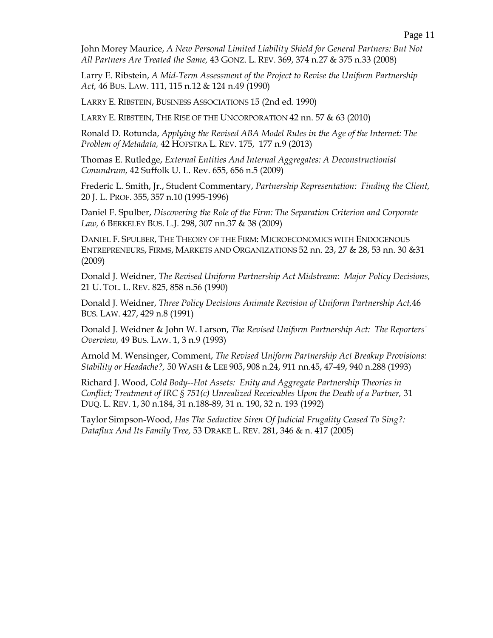John Morey Maurice, *A New Personal Limited Liability Shield for General Partners: But Not All Partners Are Treated the Same,* 43 GONZ. L. REV. 369, 374 n.27 & 375 n.33 (2008)

Larry E. Ribstein, *A Mid-Term Assessment of the Project to Revise the Uniform Partnership Act,* 46 BUS. LAW. 111, 115 n.12 & 124 n.49 (1990)

LARRY E. RIBSTEIN, BUSINESS ASSOCIATIONS 15 (2nd ed. 1990)

LARRY E. RIBSTEIN, THE RISE OF THE UNCORPORATION 42 nn. 57 & 63 (2010)

Ronald D. Rotunda, *Applying the Revised ABA Model Rules in the Age of the Internet: The Problem of Metadata,* 42 HOFSTRA L. REV. 175, 177 n.9 (2013)

Thomas E. Rutledge, *External Entities And Internal Aggregates: A Deconstructionist Conundrum,* 42 Suffolk U. L. Rev. 655, 656 n.5 (2009)

Frederic L. Smith, Jr., Student Commentary, *Partnership Representation: Finding the Client,* 20 J. L. PROF. 355, 357 n.10 (1995-1996)

Daniel F. Spulber, *Discovering the Role of the Firm: The Separation Criterion and Corporate Law,* 6 BERKELEY BUS. L.J. 298, 307 nn.37 & 38 (2009)

DANIEL F. SPULBER, THE THEORY OF THE FIRM: MICROECONOMICS WITH ENDOGENOUS ENTREPRENEURS, FIRMS, MARKETS AND ORGANIZATIONS 52 nn. 23, 27 & 28, 53 nn. 30 &31 (2009)

Donald J. Weidner, *The Revised Uniform Partnership Act Midstream: Major Policy Decisions,* 21 U. TOL. L. REV. 825, 858 n.56 (1990)

Donald J. Weidner, *Three Policy Decisions Animate Revision of Uniform Partnership Act,*46 BUS. LAW. 427, 429 n.8 (1991)

Donald J. Weidner & John W. Larson, *The Revised Uniform Partnership Act: The Reporters' Overview,* 49 BUS. LAW. 1, 3 n.9 (1993)

Arnold M. Wensinger, Comment, *The Revised Uniform Partnership Act Breakup Provisions: Stability or Headache?,* 50 WASH & LEE 905, 908 n.24, 911 nn.45, 47-49, 940 n.288 (1993)

Richard J. Wood, *Cold Body--Hot Assets: Enity and Aggregate Partnership Theories in Conflict; Treatment of IRC § 751(c) Unrealized Receivables Upon the Death of a Partner,* 31 DUQ. L. REV. 1, 30 n.184, 31 n.188-89, 31 n. 190, 32 n. 193 (1992)

Taylor Simpson-Wood, *Has The Seductive Siren Of Judicial Frugality Ceased To Sing?: Dataflux And Its Family Tree,* 53 DRAKE L. REV. 281, 346 & n. 417 (2005)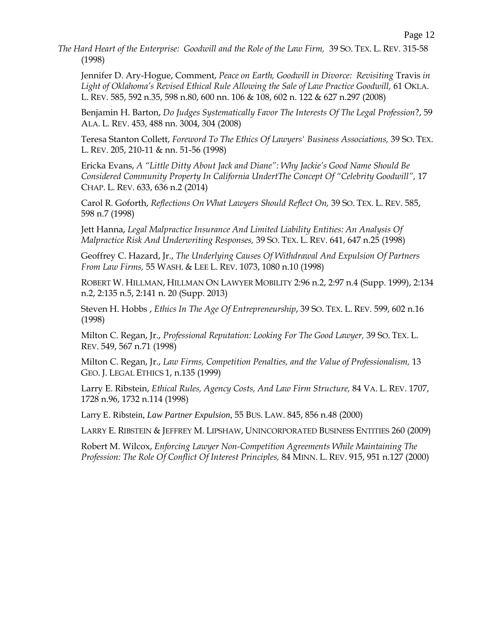*The Hard Heart of the Enterprise: Goodwill and the Role of the Law Firm,* 39 SO. TEX. L. REV. 315-58 (1998)

Jennifer D. Ary-Hogue, Comment, *Peace on Earth, Goodwill in Divorce: Revisiting* Travis *in Light of Oklahoma's Revised Ethical Rule Allowing the Sale of Law Practice Goodwill,* 61 OKLA. L. REV. 585, 592 n.35, 598 n.80, 600 nn. 106 & 108, 602 n. 122 & 627 n.297 (2008)

Benjamin H. Barton, *Do Judges Systematically Favor The Interests Of The Legal Profession*?, 59 ALA. L. REV. 453, 488 nn. 3004, 304 (2008)

Teresa Stanton Collett, *Foreword To The Ethics Of Lawyers' Business Associations,* 39 SO. TEX. L. REV. 205, 210-11 & nn. 51-56 (1998)

Ericka Evans, *A "Little Ditty About Jack and Diane": Why Jackie's Good Name Should Be Considered Community Property In California UndertThe Concept Of "Celebrity Goodwill",* 17 CHAP. L. REV. 633, 636 n.2 (2014)

Carol R. Goforth, *Reflections On What Lawyers Should Reflect On,* 39 SO. TEX. L. REV. 585, 598 n.7 (1998)

Jett Hanna, *Legal Malpractice Insurance And Limited Liability Entities: An Analysis Of Malpractice Risk And Underwriting Responses,* 39 SO. TEX. L. REV. 641, 647 n.25 (1998)

Geoffrey C. Hazard, Jr., *The Underlying Causes Of Withdrawal And Expulsion Of Partners From Law Firms,* 55 WASH. & LEE L. REV. 1073, 1080 n.10 (1998)

ROBERT W. HILLMAN, HILLMAN ON LAWYER MOBILITY 2:96 n.2, 2:97 n.4 (Supp. 1999), 2:134 n.2, 2:135 n.5, 2:141 n. 20 (Supp. 2013)

Steven H. Hobbs , *Ethics In The Age Of Entrepreneurship*, 39 SO. TEX. L. REV. 599, 602 n.16 (1998)

Milton C. Regan, Jr., *Professional Reputation: Looking For The Good Lawyer,* 39 SO. TEX. L. REV. 549, 567 n.71 (1998)

Milton C. Regan, Jr., *Law Firms, Competition Penalties, and the Value of Professionalism,* 13 GEO. J. LEGAL ETHICS 1, n.135 (1999)

Larry E. Ribstein, *Ethical Rules, Agency Costs, And Law Firm Structure,* 84 VA. L. REV. 1707, 1728 n.96, 1732 n.114 (1998)

Larry E. Ribstein, *Law Partner Expulsion,* 55 BUS. LAW. 845, 856 n.48 (2000)

LARRY E. RIBSTEIN & JEFFREY M. LIPSHAW, UNINCORPORATED BUSINESS ENTITIES 260 (2009)

Robert M. Wilcox, *Enforcing Lawyer Non-Competition Agreements While Maintaining The Profession: The Role Of Conflict Of Interest Principles,* 84 MINN. L. REV. 915, 951 n.127 (2000)